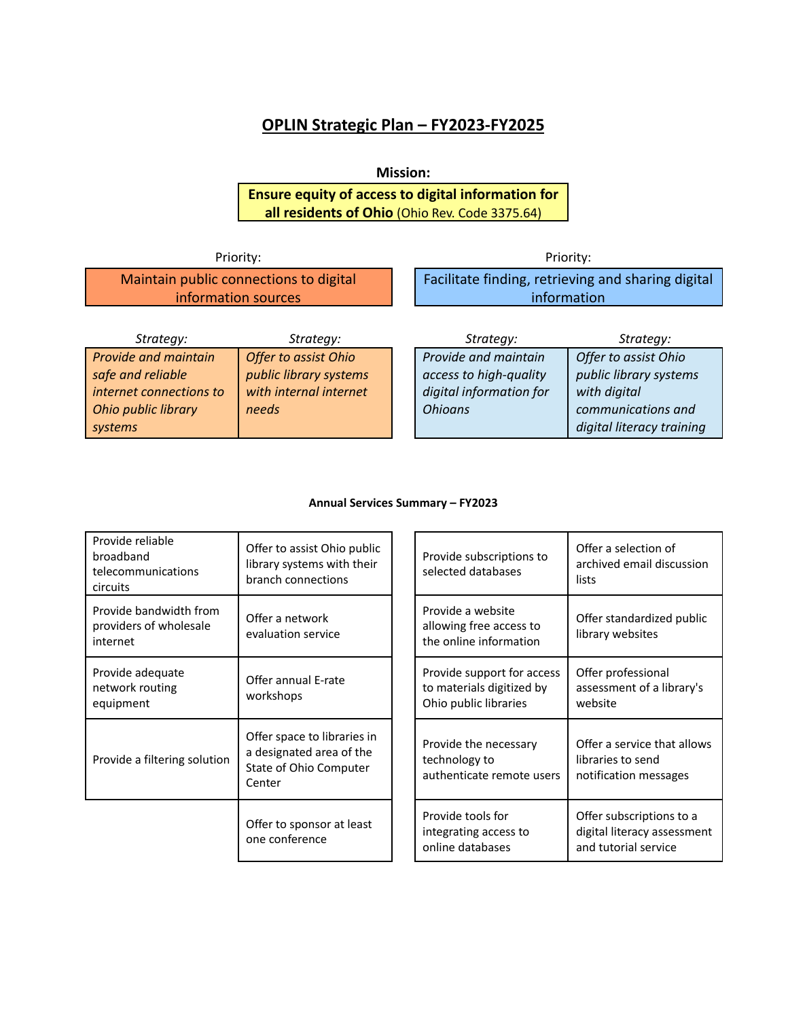# **OPLIN Strategic Plan – FY2023-FY2025**

# **Mission:**

**Ensure equity of access to digital information for all residents of Ohio** (Ohio Rev. Code 3375.64)

| Priority:                                                     |                      | Priority:                                                         |                      |  |
|---------------------------------------------------------------|----------------------|-------------------------------------------------------------------|----------------------|--|
| Maintain public connections to digital<br>information sources |                      | Facilitate finding, retrieving and sharing digital<br>information |                      |  |
| Strategy:                                                     | Strategy:            | Strategy:                                                         | Strategy:            |  |
| <b>Provide and maintain</b>                                   | Offer to assist Ohio | Provide and maintain                                              | Offer to assist Ohio |  |

| <i>Sudicuy.</i>         | <i>sudicuy.</i>             | JUULCUV.                | JUULCUV.                  |
|-------------------------|-----------------------------|-------------------------|---------------------------|
| Provide and maintain    | <b>Offer to assist Ohio</b> | Provide and maintain    | Offer to assist Ohio      |
| safe and reliable       | public library systems      | access to high-quality  | public library systems    |
| internet connections to | with internal internet      | digital information for | with digital              |
| Ohio public library     | needs                       | <b>Ohioans</b>          | communications and        |
| systems                 |                             |                         | digital literacy training |
|                         |                             |                         |                           |

### **Annual Services Summary – FY2023**

| Provide reliable<br>broadband<br>telecommunications<br>circuits | Offer to assist Ohio public<br>library systems with their<br>branch connections             |  | Provide subscriptions to<br>selected databases                                   | Offer a selection of<br>archived email discussion<br>lists                      |
|-----------------------------------------------------------------|---------------------------------------------------------------------------------------------|--|----------------------------------------------------------------------------------|---------------------------------------------------------------------------------|
| Provide bandwidth from<br>providers of wholesale<br>internet    | Offer a network<br>evaluation service                                                       |  | Provide a website<br>allowing free access to<br>the online information           | Offer standardized public<br>library websites                                   |
| Provide adequate<br>network routing<br>equipment                | Offer annual E-rate<br>workshops                                                            |  | Provide support for access<br>to materials digitized by<br>Ohio public libraries | Offer professional<br>assessment of a library's<br>website                      |
| Provide a filtering solution                                    | Offer space to libraries in<br>a designated area of the<br>State of Ohio Computer<br>Center |  | Provide the necessary<br>technology to<br>authenticate remote users              | Offer a service that allows<br>libraries to send<br>notification messages       |
|                                                                 | Offer to sponsor at least<br>one conference                                                 |  | Provide tools for<br>integrating access to<br>online databases                   | Offer subscriptions to a<br>digital literacy assessment<br>and tutorial service |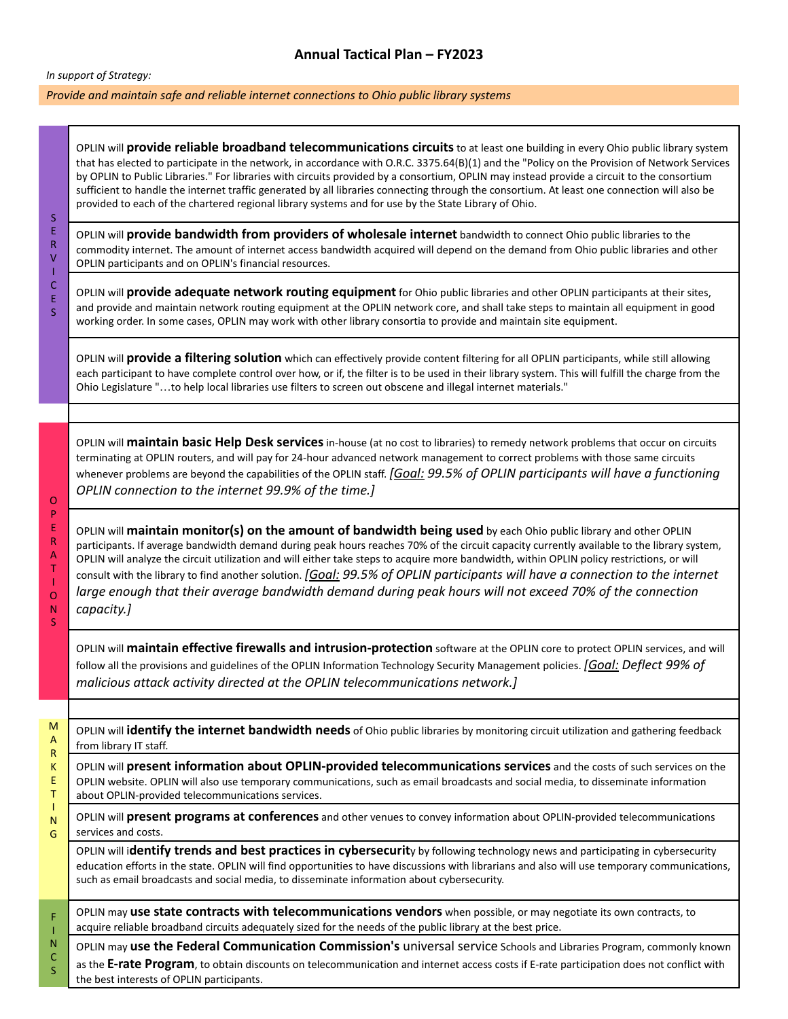# **Annual Tactical Plan – FY2023**

#### *In support of Strategy:*

#### *Provide and maintain safe and reliable internet connections to Ohio public library systems*

OPLIN will **provide reliable broadband telecommunications circuits**to at least one building in every Ohio public library system that has elected to participate in the network, in accordance with O.R.C. 3375.64(B)(1) and the "Policy on the Provision of Network Services by OPLIN to Public Libraries." For libraries with circuits provided by a consortium, OPLIN may instead provide a circuit to the consortium sufficient to handle the internet traffic generated by all libraries connecting through the consortium. At least one connection will also be provided to each of the chartered regional library systems and for use by the State Library of Ohio.

S E R V

I C E S

O P E R A T I O N S

OPLIN will **provide bandwidth from providers of wholesale internet** bandwidth to connect Ohio public libraries to the commodity internet. The amount of internet access bandwidth acquired will depend on the demand from Ohio public libraries and other OPLIN participants and on OPLIN's financial resources.

OPLIN will **provide adequate network routing equipment** for Ohio public libraries and other OPLIN participants at their sites, and provide and maintain network routing equipment at the OPLIN network core, and shall take steps to maintain all equipment in good working order. In some cases, OPLIN may work with other library consortia to provide and maintain site equipment.

OPLIN will **provide a filtering solution** which can effectively provide content filtering for all OPLIN participants, while still allowing each participant to have complete control over how, or if, the filter is to be used in their library system. This will fulfill the charge from the Ohio Legislature "…to help local libraries use filters to screen out obscene and illegal internet materials."

OPLIN will **maintain basic Help Desk services**in-house (at no cost to libraries) to remedy network problems that occur on circuits terminating at OPLIN routers, and will pay for 24-hour advanced network management to correct problems with those same circuits whenever problems are beyond the capabilities of the OPLIN staff. *[Goal: 99.5% of OPLIN participants will have a functioning OPLIN connection to the internet 99.9% of the time.]*

OPLIN will **maintain monitor(s) on the amount of bandwidth being used** by each Ohio public library and other OPLIN participants. If average bandwidth demand during peak hours reaches 70% of the circuit capacity currently available to the library system, OPLIN will analyze the circuit utilization and will either take steps to acquire more bandwidth, within OPLIN policy restrictions, or will consult with the library to find another solution. *[Goal: 99.5% of OPLIN participants will have a connection to the internet large enough that their average bandwidth demand during peak hours will not exceed 70% of the connection capacity.]*

OPLIN will **maintain effective firewalls and intrusion-protection** software at the OPLIN core to protect OPLIN services, and will follow all the provisions and guidelines of the OPLIN Information Technology Security Management policies. *[Goal: Deflect 99% of malicious attack activity directed at the OPLIN telecommunications network.]*

| M<br>$\overline{A}$<br>$\mathsf{R}$ | OPLIN will identify the internet bandwidth needs of Ohio public libraries by monitoring circuit utilization and gathering feedback<br>from library IT staff.                                                                                                                                                                                                                  |  |  |  |
|-------------------------------------|-------------------------------------------------------------------------------------------------------------------------------------------------------------------------------------------------------------------------------------------------------------------------------------------------------------------------------------------------------------------------------|--|--|--|
| K<br>E.<br>T                        | OPLIN will present information about OPLIN-provided telecommunications services and the costs of such services on the<br>OPLIN website. OPLIN will also use temporary communications, such as email broadcasts and social media, to disseminate information<br>about OPLIN-provided telecommunications services.                                                              |  |  |  |
| N<br>G                              | OPLIN will present programs at conferences and other venues to convey information about OPLIN-provided telecommunications<br>services and costs.                                                                                                                                                                                                                              |  |  |  |
|                                     | OPLIN will identify trends and best practices in cybersecurity by following technology news and participating in cybersecurity<br>education efforts in the state. OPLIN will find opportunities to have discussions with librarians and also will use temporary communications,<br>such as email broadcasts and social media, to disseminate information about cybersecurity. |  |  |  |
| F                                   | OPLIN may use state contracts with telecommunications vendors when possible, or may negotiate its own contracts, to<br>acquire reliable broadband circuits adequately sized for the needs of the public library at the best price.                                                                                                                                            |  |  |  |
| $\mathsf{N}$<br>С<br>S.             | OPLIN may use the Federal Communication Commission's universal service Schools and Libraries Program, commonly known<br>as the E-rate Program, to obtain discounts on telecommunication and internet access costs if E-rate participation does not conflict with<br>the best interests of OPLIN participants.                                                                 |  |  |  |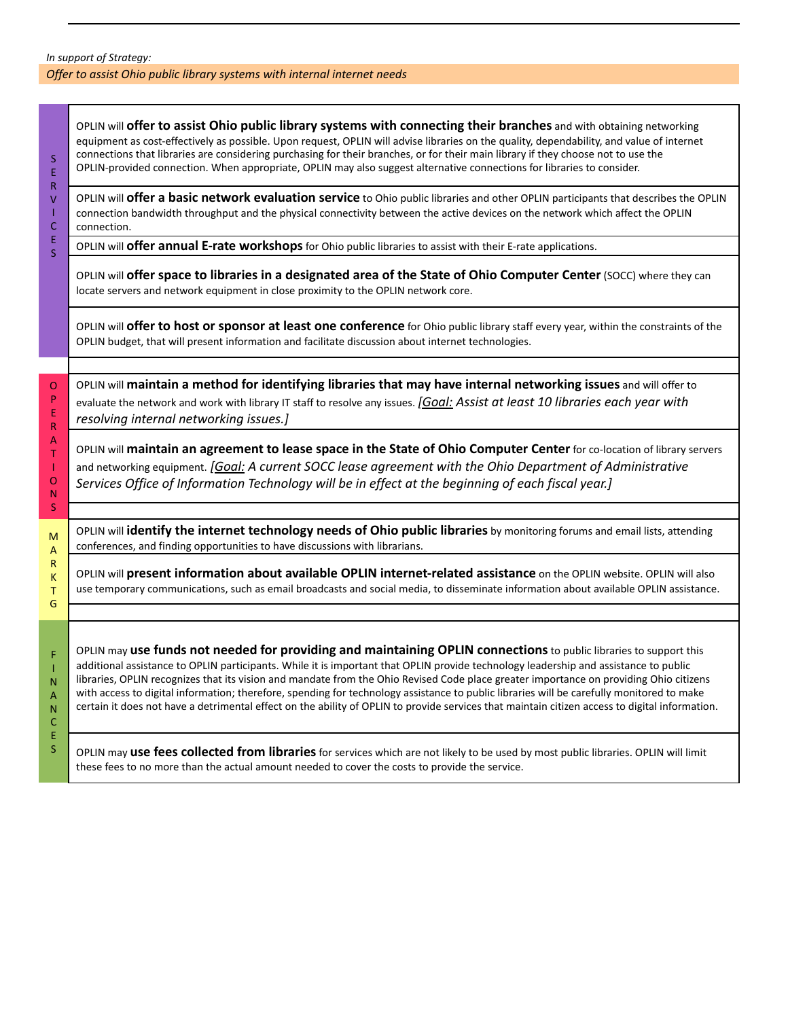### *In support of Strategy: Offer to assist Ohio public library systems with internal internet needs*

| $\sf S$<br>Ė                                                         | OPLIN will offer to assist Ohio public library systems with connecting their branches and with obtaining networking<br>equipment as cost-effectively as possible. Upon request, OPLIN will advise libraries on the quality, dependability, and value of internet<br>connections that libraries are considering purchasing for their branches, or for their main library if they choose not to use the<br>OPLIN-provided connection. When appropriate, OPLIN may also suggest alternative connections for libraries to consider.                                                                                                                                                                     |
|----------------------------------------------------------------------|-----------------------------------------------------------------------------------------------------------------------------------------------------------------------------------------------------------------------------------------------------------------------------------------------------------------------------------------------------------------------------------------------------------------------------------------------------------------------------------------------------------------------------------------------------------------------------------------------------------------------------------------------------------------------------------------------------|
| R<br>$\vee$<br>T<br>$\mathsf C$                                      | OPLIN will offer a basic network evaluation service to Ohio public libraries and other OPLIN participants that describes the OPLIN<br>connection bandwidth throughput and the physical connectivity between the active devices on the network which affect the OPLIN<br>connection.                                                                                                                                                                                                                                                                                                                                                                                                                 |
| Ė<br>$\overline{\mathsf{S}}$                                         | OPLIN will <b>offer annual E-rate workshops</b> for Ohio public libraries to assist with their E-rate applications.                                                                                                                                                                                                                                                                                                                                                                                                                                                                                                                                                                                 |
|                                                                      | OPLIN will offer space to libraries in a designated area of the State of Ohio Computer Center (SOCC) where they can<br>locate servers and network equipment in close proximity to the OPLIN network core.                                                                                                                                                                                                                                                                                                                                                                                                                                                                                           |
|                                                                      | OPLIN will offer to host or sponsor at least one conference for Ohio public library staff every year, within the constraints of the<br>OPLIN budget, that will present information and facilitate discussion about internet technologies.                                                                                                                                                                                                                                                                                                                                                                                                                                                           |
|                                                                      |                                                                                                                                                                                                                                                                                                                                                                                                                                                                                                                                                                                                                                                                                                     |
| $\mathsf O$<br>$\mathsf{P}$<br>E<br>$\mathsf{R}$                     | OPLIN will maintain a method for identifying libraries that may have internal networking issues and will offer to<br>evaluate the network and work with library IT staff to resolve any issues. [Goal: Assist at least 10 libraries each year with<br>resolving internal networking issues.]                                                                                                                                                                                                                                                                                                                                                                                                        |
| $\boldsymbol{\mathsf{A}}$<br>$\top$<br>T<br>$\mathsf O$<br>${\sf N}$ | OPLIN will maintain an agreement to lease space in the State of Ohio Computer Center for co-location of library servers<br>and networking equipment. [Goal: A current SOCC lease agreement with the Ohio Department of Administrative<br>Services Office of Information Technology will be in effect at the beginning of each fiscal year.]                                                                                                                                                                                                                                                                                                                                                         |
| Š                                                                    |                                                                                                                                                                                                                                                                                                                                                                                                                                                                                                                                                                                                                                                                                                     |
| M<br>A                                                               | OPLIN will identify the internet technology needs of Ohio public libraries by monitoring forums and email lists, attending<br>conferences, and finding opportunities to have discussions with librarians.                                                                                                                                                                                                                                                                                                                                                                                                                                                                                           |
| $\mathsf{R}$<br>K<br>Τ<br>G                                          | OPLIN will present information about available OPLIN internet-related assistance on the OPLIN website. OPLIN will also<br>use temporary communications, such as email broadcasts and social media, to disseminate information about available OPLIN assistance.                                                                                                                                                                                                                                                                                                                                                                                                                                     |
|                                                                      |                                                                                                                                                                                                                                                                                                                                                                                                                                                                                                                                                                                                                                                                                                     |
| F<br>1<br>$\mathsf{N}$<br>A<br>$\mathsf{N}$<br>$\mathsf{C}$          | OPLIN may use funds not needed for providing and maintaining OPLIN connections to public libraries to support this<br>additional assistance to OPLIN participants. While it is important that OPLIN provide technology leadership and assistance to public<br>libraries, OPLIN recognizes that its vision and mandate from the Ohio Revised Code place greater importance on providing Ohio citizens<br>with access to digital information; therefore, spending for technology assistance to public libraries will be carefully monitored to make<br>certain it does not have a detrimental effect on the ability of OPLIN to provide services that maintain citizen access to digital information. |
| E<br>Š.                                                              | OPLIN may use fees collected from libraries for services which are not likely to be used by most public libraries. OPLIN will limit<br>these fees to no more than the actual amount needed to cover the costs to provide the service.                                                                                                                                                                                                                                                                                                                                                                                                                                                               |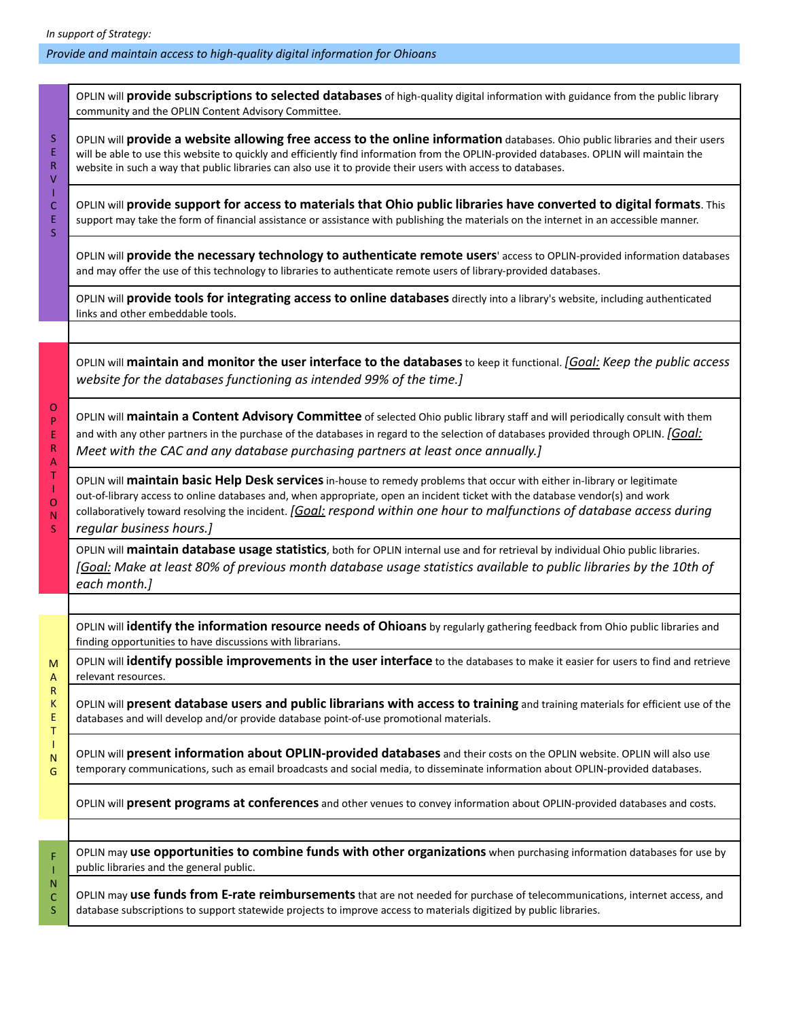# *Provide and maintain access to high-quality digital information for Ohioans*

|                       | OPLIN will provide subscriptions to selected databases of high-quality digital information with guidance from the public library<br>community and the OPLIN Content Advisory Committee.                                                                                                                                                                                                                          |
|-----------------------|------------------------------------------------------------------------------------------------------------------------------------------------------------------------------------------------------------------------------------------------------------------------------------------------------------------------------------------------------------------------------------------------------------------|
| S<br>E<br>R<br>٧      | OPLIN will provide a website allowing free access to the online information databases. Ohio public libraries and their users<br>will be able to use this website to quickly and efficiently find information from the OPLIN-provided databases. OPLIN will maintain the<br>website in such a way that public libraries can also use it to provide their users with access to databases.                          |
| C<br>E<br>S           | OPLIN will provide support for access to materials that Ohio public libraries have converted to digital formats. This<br>support may take the form of financial assistance or assistance with publishing the materials on the internet in an accessible manner.                                                                                                                                                  |
|                       | OPLIN will provide the necessary technology to authenticate remote users' access to OPLIN-provided information databases<br>and may offer the use of this technology to libraries to authenticate remote users of library-provided databases.                                                                                                                                                                    |
|                       | OPLIN will provide tools for integrating access to online databases directly into a library's website, including authenticated<br>links and other embeddable tools.                                                                                                                                                                                                                                              |
|                       | OPLIN will maintain and monitor the user interface to the databases to keep it functional. [Goal: Keep the public access<br>website for the databases functioning as intended 99% of the time.]                                                                                                                                                                                                                  |
| O<br>P<br>E<br>R<br>А | OPLIN will maintain a Content Advisory Committee of selected Ohio public library staff and will periodically consult with them<br>and with any other partners in the purchase of the databases in regard to the selection of databases provided through OPLIN. [Goal:<br>Meet with the CAC and any database purchasing partners at least once annually.]                                                         |
| Τ<br>O<br>N<br>S.     | OPLIN will maintain basic Help Desk services in-house to remedy problems that occur with either in-library or legitimate<br>out-of-library access to online databases and, when appropriate, open an incident ticket with the database vendor(s) and work<br>collaboratively toward resolving the incident. [Goal: respond within one hour to malfunctions of database access during<br>regular business hours.] |
|                       | OPLIN will maintain database usage statistics, both for OPLIN internal use and for retrieval by individual Ohio public libraries.<br>[Goal: Make at least 80% of previous month database usage statistics available to public libraries by the 10th of<br>each month.]                                                                                                                                           |
|                       |                                                                                                                                                                                                                                                                                                                                                                                                                  |
|                       | OPLIN will identify the information resource needs of Ohioans by regularly gathering feedback from Ohio public libraries and<br>finding opportunities to have discussions with librarians.                                                                                                                                                                                                                       |
| м<br>A                | OPLIN will identify possible improvements in the user interface to the databases to make it easier for users to find and retrieve<br>relevant resources.                                                                                                                                                                                                                                                         |
| R<br>Κ<br>Ε<br>т      | OPLIN will present database users and public librarians with access to training and training materials for efficient use of the<br>databases and will develop and/or provide database point-of-use promotional materials.                                                                                                                                                                                        |
| N<br>G                | OPLIN will present information about OPLIN-provided databases and their costs on the OPLIN website. OPLIN will also use<br>temporary communications, such as email broadcasts and social media, to disseminate information about OPLIN-provided databases.                                                                                                                                                       |
|                       | OPLIN will present programs at conferences and other venues to convey information about OPLIN-provided databases and costs.                                                                                                                                                                                                                                                                                      |
|                       |                                                                                                                                                                                                                                                                                                                                                                                                                  |
| F                     | OPLIN may use opportunities to combine funds with other organizations when purchasing information databases for use by<br>public libraries and the general public.                                                                                                                                                                                                                                               |
| N<br>C<br>S           | OPLIN may use funds from E-rate reimbursements that are not needed for purchase of telecommunications, internet access, and<br>database subscriptions to support statewide projects to improve access to materials digitized by public libraries.                                                                                                                                                                |